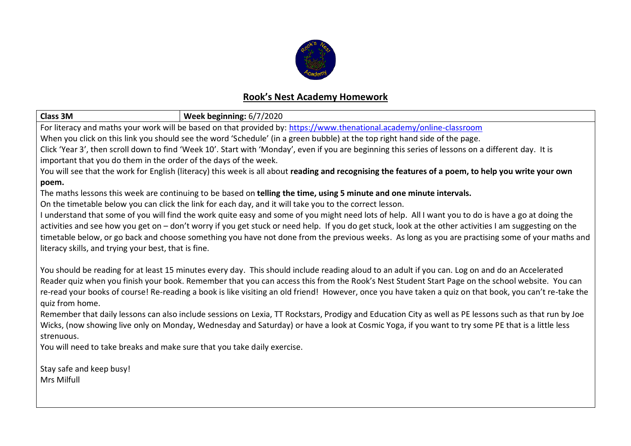

## **Rook's Nest Academy Homework**

| <b>Class 3M</b>                                                                                                                                                                                                                                                                                            | Week beginning: 6/7/2020 |  |  |  |
|------------------------------------------------------------------------------------------------------------------------------------------------------------------------------------------------------------------------------------------------------------------------------------------------------------|--------------------------|--|--|--|
| For literacy and maths your work will be based on that provided by: https://www.thenational.academy/online-classroom                                                                                                                                                                                       |                          |  |  |  |
| When you click on this link you should see the word 'Schedule' (in a green bubble) at the top right hand side of the page.                                                                                                                                                                                 |                          |  |  |  |
| Click 'Year 3', then scroll down to find 'Week 10'. Start with 'Monday', even if you are beginning this series of lessons on a different day. It is                                                                                                                                                        |                          |  |  |  |
| important that you do them in the order of the days of the week.                                                                                                                                                                                                                                           |                          |  |  |  |
| You will see that the work for English (literacy) this week is all about reading and recognising the features of a poem, to help you write your own                                                                                                                                                        |                          |  |  |  |
| poem.                                                                                                                                                                                                                                                                                                      |                          |  |  |  |
| The maths lessons this week are continuing to be based on telling the time, using 5 minute and one minute intervals.                                                                                                                                                                                       |                          |  |  |  |
| On the timetable below you can click the link for each day, and it will take you to the correct lesson.                                                                                                                                                                                                    |                          |  |  |  |
| I understand that some of you will find the work quite easy and some of you might need lots of help. All I want you to do is have a go at doing the                                                                                                                                                        |                          |  |  |  |
| activities and see how you get on - don't worry if you get stuck or need help. If you do get stuck, look at the other activities I am suggesting on the                                                                                                                                                    |                          |  |  |  |
| timetable below, or go back and choose something you have not done from the previous weeks. As long as you are practising some of your maths and                                                                                                                                                           |                          |  |  |  |
| literacy skills, and trying your best, that is fine.                                                                                                                                                                                                                                                       |                          |  |  |  |
|                                                                                                                                                                                                                                                                                                            |                          |  |  |  |
| You should be reading for at least 15 minutes every day. This should include reading aloud to an adult if you can. Log on and do an Accelerated                                                                                                                                                            |                          |  |  |  |
| Reader quiz when you finish your book. Remember that you can access this from the Rook's Nest Student Start Page on the school website. You can                                                                                                                                                            |                          |  |  |  |
| re-read your books of course! Re-reading a book is like visiting an old friend! However, once you have taken a quiz on that book, you can't re-take the                                                                                                                                                    |                          |  |  |  |
| quiz from home.                                                                                                                                                                                                                                                                                            |                          |  |  |  |
| Remember that daily lessons can also include sessions on Lexia, TT Rockstars, Prodigy and Education City as well as PE lessons such as that run by Joe<br>Wicks, (now showing live only on Monday, Wednesday and Saturday) or have a look at Cosmic Yoga, if you want to try some PE that is a little less |                          |  |  |  |
|                                                                                                                                                                                                                                                                                                            |                          |  |  |  |
| strenuous.<br>You will need to take breaks and make sure that you take daily exercise.                                                                                                                                                                                                                     |                          |  |  |  |
|                                                                                                                                                                                                                                                                                                            |                          |  |  |  |
| Stay safe and keep busy!                                                                                                                                                                                                                                                                                   |                          |  |  |  |
| <b>Mrs Milfull</b>                                                                                                                                                                                                                                                                                         |                          |  |  |  |
|                                                                                                                                                                                                                                                                                                            |                          |  |  |  |
|                                                                                                                                                                                                                                                                                                            |                          |  |  |  |